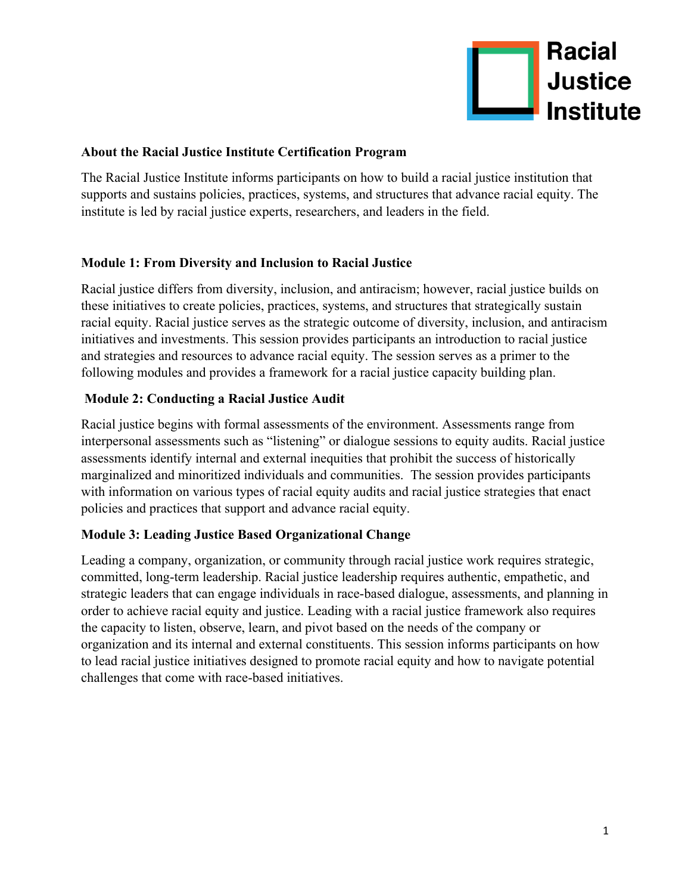

### **About the Racial Justice Institute Certification Program**

The Racial Justice Institute informs participants on how to build a racial justice institution that supports and sustains policies, practices, systems, and structures that advance racial equity. The institute is led by racial justice experts, researchers, and leaders in the field.

# **Module 1: From Diversity and Inclusion to Racial Justice**

Racial justice differs from diversity, inclusion, and antiracism; however, racial justice builds on these initiatives to create policies, practices, systems, and structures that strategically sustain racial equity. Racial justice serves as the strategic outcome of diversity, inclusion, and antiracism initiatives and investments. This session provides participants an introduction to racial justice and strategies and resources to advance racial equity. The session serves as a primer to the following modules and provides a framework for a racial justice capacity building plan.

# **Module 2: Conducting a Racial Justice Audit**

Racial justice begins with formal assessments of the environment. Assessments range from interpersonal assessments such as "listening" or dialogue sessions to equity audits. Racial justice assessments identify internal and external inequities that prohibit the success of historically marginalized and minoritized individuals and communities. The session provides participants with information on various types of racial equity audits and racial justice strategies that enact policies and practices that support and advance racial equity.

# **Module 3: Leading Justice Based Organizational Change**

Leading a company, organization, or community through racial justice work requires strategic, committed, long-term leadership. Racial justice leadership requires authentic, empathetic, and strategic leaders that can engage individuals in race-based dialogue, assessments, and planning in order to achieve racial equity and justice. Leading with a racial justice framework also requires the capacity to listen, observe, learn, and pivot based on the needs of the company or organization and its internal and external constituents. This session informs participants on how to lead racial justice initiatives designed to promote racial equity and how to navigate potential challenges that come with race-based initiatives.